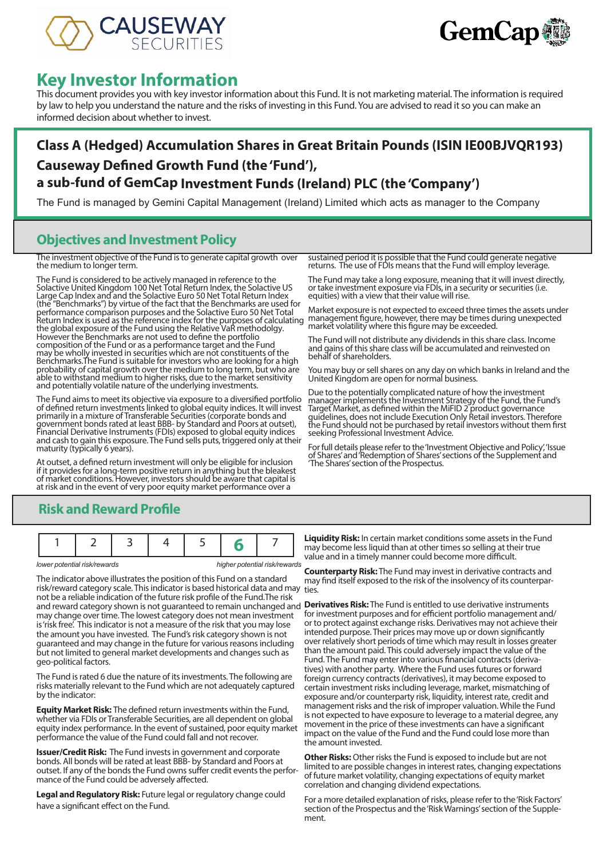



# **Key Investor Information**

This document provides you with key investor information about this Fund. It is not marketing material. The information is required by law to help you understand the nature and the risks of investing in this Fund. You are advised to read it so you can make an informed decision about whether to invest.

## **Class A (Hedged) Accumulation Shares in Great Britain Pounds (ISIN IE00BJVQR193) Causeway Defined Growth Fund (the 'Fund'), a sub-fund of GemCap Investment Funds (Ireland) PLC (the 'Company')**

The Fund is managed by Gemini Capital Management (Ireland) Limited which acts as manager to the Company

### **Objectives and Investment Policy**

The investment objective of the Fund is to generate capital growth over the medium to longer term.

The Fund is considered to be actively managed in reference to the Solactive United Kingdom 100 Net Total Return Index, the Solactive US Large Cap Index and and the Solactive Euro 50 Net Total Return Index (the "Benchmarks") by virtue of the fact that the Benchmarks are used for performance comparison purposes and the Solactive Euro 50 Net Total Return Index is used as the reference index for the purposes of calculating the global exposure of the Fund using the Relative VaR methodolgy. However the Benchmarks are not used to define the portfolio composition of the Fund or as a performance target and the Fund may be wholly invested in securities which are not constituents of the Benchmarks.The Fund is suitable for investors who are looking for a high probability of capital growth over the medium to long term, but who are able to withstand medium to higher risks, due to the market sensitivity and potentially volatile nature of the underlying investments.

The Fund aims to meet its objective via exposure to a diversified portfolio of defined return investments linked to global equity indices. It will invest primarily in a mixture of Transferable Securities (corporate bonds and government bonds rated at least BBB- by Standard and Poors at outset), Financial Derivative Instruments (FDIs) exposed to global equity indices and cash to gain this exposure. The Fund sells puts, triggered only at their maturity (typically 6 years).

At outset, a defined return investment will only be eligible for inclusion if it provides for a long-term positive return in anything but the bleakest of market conditions. However, investors should be aware that capital is at risk and in the event of very poor equity market performance over a

sustained period it is possible that the Fund could generate negative returns. The use of FDIs means that the Fund will employ leverage.

The Fund may take a long exposure, meaning that it will invest directly, or take investment exposure via FDIs, in a security or securities (i.e. equities) with a view that their value will rise.

Market exposure is not expected to exceed three times the assets under management figure, however, there may be times during unexpected market volatility where this figure may be exceeded.

The Fund will not distribute any dividends in this share class. Income and gains of this share class will be accumulated and reinvested on behalf of shareholders.

You may buy or sell shares on any day on which banks in Ireland and the United Kingdom are open for normal business.

Due to the potentially complicated nature of how the investment manager implements the Investment Strategy of the Fund, the Fund's Target Market, as defined within the MiFID 2 product governance guidelines, does not include Execution Only Retail investors. Therefore the Fund should not be purchased by retail investors without them first seeking Professional Investment Advice.

For full details please refer to the 'Investment Objective and Policy', 'Issue of Shares' and 'Redemption of Shares' sections of the Supplement and 'The Shares' section of the Prospectus.

### **Risk and Reward Profile**

|--|--|--|--|--|--|--|

*lower potential risk/rewards higher potential risk/rewards*

The indicator above illustrates the position of this Fund on a standard risk/reward category scale. This indicator is based historical data and may not be a reliable indication of the future risk profile of the Fund.The risk and reward category shown is not guaranteed to remain unchanged and **Derivatives Risk:** The Fund is entitled to use derivative instruments may change over time. The lowest category does not mean investment is 'risk free'. This indicator is not a measure of the risk that you may lose the amount you have invested. The Fund's risk category shown is not guaranteed and may change in the future for various reasons including but not limited to general market developments and changes such as geo-political factors.

The Fund is rated 6 due the nature of its investments. The following are risks materially relevant to the Fund which are not adequately captured by the indicator:

**Equity Market Risk:** The defined return investments within the Fund, whether via FDIs or Transferable Securities, are all dependent on global equity index performance. In the event of sustained, poor equity market performance the value of the Fund could fall and not recover.

**Issuer/Credit Risk:** The Fund invests in government and corporate bonds. All bonds will be rated at least BBB- by Standard and Poors at outset. If any of the bonds the Fund owns suffer credit events the performance of the Fund could be adversely affected.

**Legal and Regulatory Risk:** Future legal or regulatory change could have a significant effect on the Fund.

**Liquidity Risk:** In certain market conditions some assets in the Fund may become less liquid than at other times so selling at their true value and in a timely manner could become more difficult.

**Counterparty Risk:** The Fund may invest in derivative contracts and may find itself exposed to the risk of the insolvency of its counterparties.

for investment purposes and for efficient portfolio management and/ or to protect against exchange risks. Derivatives may not achieve their intended purpose. Their prices may move up or down significantly over relatively short periods of time which may result in losses greater than the amount paid. This could adversely impact the value of the Fund. The Fund may enter into various financial contracts (derivatives) with another party. Where the Fund uses futures or forward foreign currency contracts (derivatives), it may become exposed to certain investment risks including leverage, market, mismatching of exposure and/or counterparty risk, liquidity, interest rate, credit and management risks and the risk of improper valuation. While the Fund is not expected to have exposure to leverage to a material degree, any movement in the price of these investments can have a significant impact on the value of the Fund and the Fund could lose more than the amount invested.

**Other Risks:** Other risks the Fund is exposed to include but are not limited to are possible changes in interest rates, changing expectations of future market volatility, changing expectations of equity market correlation and changing dividend expectations.

For a more detailed explanation of risks, please refer to the 'Risk Factors' section of the Prospectus and the 'Risk Warnings' section of the Supple- ment.